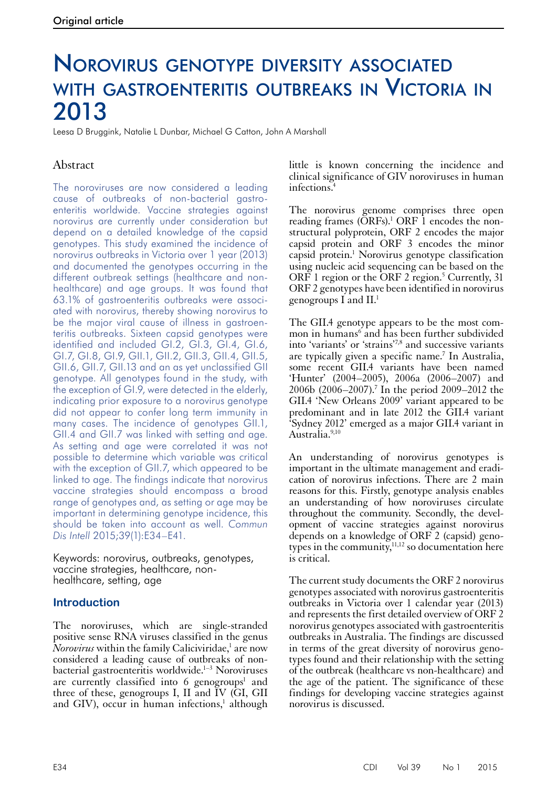# Norovirus genotype diversity associated with gastroenteritis outbreaks in Victoria in 2013

Leesa D Bruggink, Natalie L Dunbar, Michael G Catton, John A Marshall

# Abstract

The noroviruses are now considered a leading cause of outbreaks of non-bacterial gastroenteritis worldwide. Vaccine strategies against norovirus are currently under consideration but depend on a detailed knowledge of the capsid genotypes. This study examined the incidence of norovirus outbreaks in Victoria over 1 year (2013) and documented the genotypes occurring in the different outbreak settings (healthcare and nonhealthcare) and age groups. It was found that 63.1% of gastroenteritis outbreaks were associated with norovirus, thereby showing norovirus to be the major viral cause of illness in gastroenteritis outbreaks. Sixteen capsid genotypes were identified and included GI.2, GI.3, GI.4, GI.6, GI.7, GI.8, GI.9, GII.1, GII.2, GII.3, GII.4, GII.5, GII.6, GII.7, GII.13 and an as yet unclassified GII genotype. All genotypes found in the study, with the exception of GI.9, were detected in the elderly, indicating prior exposure to a norovirus genotype did not appear to confer long term immunity in many cases. The incidence of genotypes GII.1, GII.4 and GII.7 was linked with setting and age. As setting and age were correlated it was not possible to determine which variable was critical with the exception of GII.7, which appeared to be linked to age. The findings indicate that norovirus vaccine strategies should encompass a broad range of genotypes and, as setting or age may be important in determining genotype incidence, this should be taken into account as well. *Commun Dis Intell* 2015;39(1):E34–E41.

Keywords: norovirus, outbreaks, genotypes, vaccine strategies, healthcare, nonhealthcare, setting, age

## **Introduction**

The noroviruses, which are single-stranded positive sense RNA viruses classified in the genus  $\tilde{N}$ *orovirus* within the family Caliciviridae,<sup>1</sup> are now considered a leading cause of outbreaks of nonbacterial gastroenteritis worldwide.<sup>1-3</sup> Noroviruses are currently classified into 6 genogroups<sup>1</sup> and three of these, genogroups I, II and IV (GI, GII and GIV), occur in human infections,<sup>1</sup> although little is known concerning the incidence and clinical significance of GIV noroviruses in human infections.4

The norovirus genome comprises three open reading frames (ORFs).<sup>1</sup> ORF 1 encodes the nonstructural polyprotein, ORF 2 encodes the major capsid protein and ORF 3 encodes the minor capsid protein.<sup>1</sup> Norovirus genotype classification using nucleic acid sequencing can be based on the ORF 1 region or the ORF 2 region.<sup>5</sup> Currently, 31 ORF 2 genotypes have been identified in norovirus genogroups I and II.1

The GII.4 genotype appears to be the most common in humans<sup>6</sup> and has been further subdivided into 'variants' or 'strains'7,8 and successive variants are typically given a specific name.<sup>7</sup> In Australia, some recent GII.4 variants have been named 'Hunter' (2004–2005), 2006a (2006–2007) and 2006b (2006–2007).7 In the period 2009–2012 the GII.4 'New Orleans 2009' variant appeared to be predominant and in late 2012 the GII.4 variant 'Sydney 2012' emerged as a major GII.4 variant in Australia.<sup>9,10</sup>

An understanding of norovirus genotypes is important in the ultimate management and eradi- cation of norovirus infections. There are 2 main reasons for this. Firstly, genotype analysis enables an understanding of how noroviruses circulate throughout the community. Secondly, the devel- opment of vaccine strategies against norovirus depends on a knowledge of ORF 2 (capsid) geno-<br>types in the community,<sup>11,12</sup> so documentation here is critical.

The current study documents the ORF 2 norovirus genotypes associated with norovirus gastroenteritis outbreaks in Victoria over 1 calendar year (2013) and represents the first detailed overview of ORF 2 norovirus genotypes associated with gastroenteritis outbreaks in Australia. The findings are discussed in terms of the great diversity of norovirus geno- types found and their relationship with the setting of the outbreak (healthcare vs non-healthcare) and the age of the patient. The significance of these findings for developing vaccine strategies against norovirus is discussed.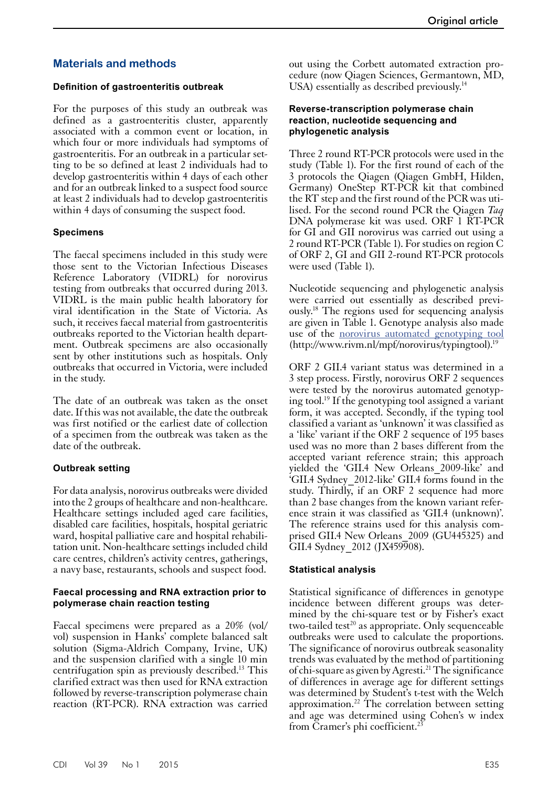# **Materials and methods**

## **Definition of gastroenteritis outbreak**

For the purposes of this study an outbreak was defined as a gastroenteritis cluster, apparently associated with a common event or location, in which four or more individuals had symptoms of gastroenteritis. For an outbreak in a particular setting to be so defined at least 2 individuals had to develop gastroenteritis within 4 days of each other and for an outbreak linked to a suspect food source at least 2 individuals had to develop gastroenteritis within 4 days of consuming the suspect food.

## **Specimens**

The faecal specimens included in this study were those sent to the Victorian Infectious Diseases Reference Laboratory (VIDRL) for norovirus testing from outbreaks that occurred during 2013. VIDRL is the main public health laboratory for viral identification in the State of Victoria. As such, it receives faecal material from gastroenteritis outbreaks reported to the Victorian health department. Outbreak specimens are also occasionally sent by other institutions such as hospitals. Only outbreaks that occurred in Victoria, were included in the study.

The date of an outbreak was taken as the onset date. If this was not available, the date the outbreak was first notified or the earliest date of collection of a specimen from the outbreak was taken as the date of the outbreak.

## **Outbreak setting**

For data analysis, norovirus outbreaks were divided into the 2 groups of healthcare and non-healthcare. Healthcare settings included aged care facilities, disabled care facilities, hospitals, hospital geriatric ward, hospital palliative care and hospital rehabili- tation unit. Non-healthcare settings included child care centres, children's activity centres, gatherings, a navy base, restaurants, schools and suspect food.

#### **Faecal processing and RNA extraction prior to polymerase chain reaction testing**

Faecal specimens were prepared as a 20% (vol/ vol) suspension in Hanks' complete balanced salt solution (Sigma-Aldrich Company, Irvine, UK) and the suspension clarified with a single 10 min centrifugation spin as previously described.13 This clarified extract was then used for RNA extraction followed by reverse-transcription polymerase chain reaction (RT-PCR). RNA extraction was carried out using the Corbett automated extraction procedure (now Qiagen Sciences, Germantown, MD, USA) essentially as described previously.<sup>14</sup>

#### **Reverse-transcription polymerase chain reaction, nucleotide sequencing and phylogenetic analysis**

Three 2 round RT-PCR protocols were used in the study (Table 1). For the first round of each of the 3 protocols the Qiagen (Qiagen GmbH, Hilden, Germany) OneStep RT-PCR kit that combined the RT step and the first round of the PCR was utilised. For the second round PCR the Qiagen *Taq* DNA polymerase kit was used. ORF 1 RT-PCR for GI and GII norovirus was carried out using a 2 round RT-PCR (Table 1). For studies on region C of ORF 2, GI and GII 2-round RT-PCR protocols were used (Table 1).

Nucleotide sequencing and phylogenetic analysis were carried out essentially as described previously.18 The regions used for sequencing analysis are given in Table 1. Genotype analysis also made use of the [norovirus automated genotyping tool](http://www.rivm.nl/mpf/norovirus/typingtool)  (http://www.rivm.nl/mpf/norovirus/typingtool).19

ORF 2 GII.4 variant status was determined in a 3 step process. Firstly, norovirus ORF 2 sequences were tested by the norovirus automated genotyping tool.19 If the genotyping tool assigned a variant form, it was accepted. Secondly, if the typing tool classified a variant as 'unknown' it was classified as a 'like' variant if the ORF 2 sequence of 195 bases used was no more than 2 bases different from the accepted variant reference strain; this approach yielded the 'GII.4 New Orleans\_2009-like' and 'GII.4 Sydney\_2012-like' GII.4 forms found in the study. Thirdly, if an ORF 2 sequence had more than 2 base changes from the known variant refer- ence strain it was classified as 'GII.4 (unknown)'. The reference strains used for this analysis comprised GII.4 New Orleans 2009 (GU445325) and GII.4 Sydney 2012 (JX459908).

#### **Statistical analysis**

Statistical significance of differences in genotype incidence between different groups was determined by the chi-square test or by Fisher's exact two-tailed test<sup>20</sup> as appropriate. Only sequenceable outbreaks were used to calculate the proportions. The significance of norovirus outbreak seasonality trends was evaluated by the method of partitioning of chi-square as given by Agresti.<sup>21</sup> The significance of differences in average age for different settings was determined by Student's t-test with the Welch approximation.<sup>22</sup> The correlation between setting and age was determined using Cohen's w index from Cramer's phi coefficient.<sup>23</sup>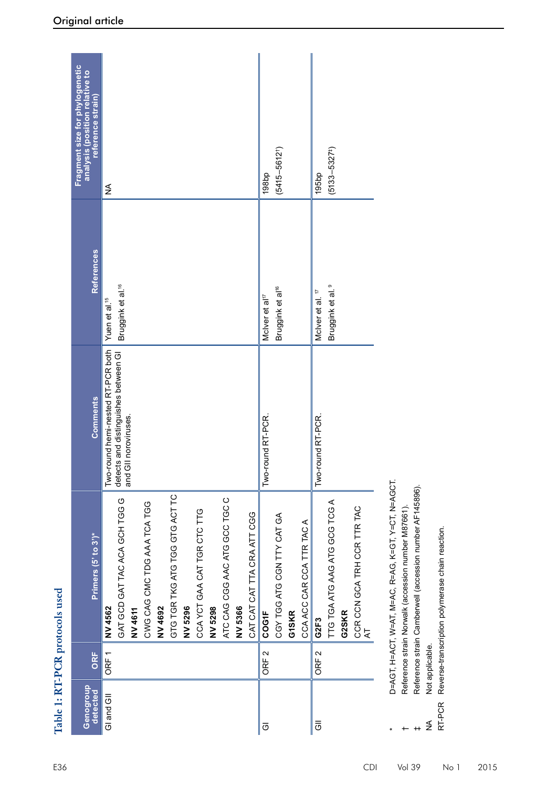|                       |                  | Table 1: RT-PCR protocols used                                                                                                                                                                                                                                 |                                                                                                         |                                                             |                                                                                       |
|-----------------------|------------------|----------------------------------------------------------------------------------------------------------------------------------------------------------------------------------------------------------------------------------------------------------------|---------------------------------------------------------------------------------------------------------|-------------------------------------------------------------|---------------------------------------------------------------------------------------|
| Genogroup<br>detected | ORF              | Primers (5' to 3')*                                                                                                                                                                                                                                            | <b>Comments</b>                                                                                         | <b>References</b>                                           | Fragment size for phylogenetic<br>analysis (position relative to<br>reference strain) |
| GI and GII            | ORF <sub>1</sub> | GTG TGR TKG ATG TGG GTG ACT TC<br>ATC CAG CGG AAC ATG GCC TGC C<br>GAT GCD GAT TAC ACA GCH TGG G<br>CWG CAG CMC TDG AAA TCA TGG<br>CCA YCT GAA CAT TGR CTC TTG<br>CAT CAT CAT TTA CRA ATT CGG<br>NV 5296<br>NV 5298<br>NV4692<br>NV 5366<br>NV 4562<br>NV 4611 | Two-round hemi-nested RT-PCR both<br>and distinguishes between GI<br>noroviruses.<br>detects<br>and Gll | Bruggink et al. <sup>16</sup><br>Yuen et al. <sup>15</sup>  | ≨                                                                                     |
| ō                     | ORF <sub>2</sub> | CGY TGG ATG CGN TTY CAT GA<br>CCA ACC CAR CCA TTR TAC A<br>COG1F<br><b>G1SKR</b>                                                                                                                                                                               | Two-round RT-PCR                                                                                        | Bruggink et al <sup>16</sup><br>McIver et al <sup>17</sup>  | $(5415 - 5612)$<br>198bp                                                              |
| $\bar{5}$             | ORF <sub>2</sub> | TTG TGA ATG AAG ATG GCG TCG A<br>CCR CCN GCA TRH CCR TTR TAC<br>G2SKR<br>G2F3<br>$\overline{\mathbf{z}}$                                                                                                                                                       | Two-round RT-PCR                                                                                        | Bruggink et al. <sup>9</sup><br>McIver et al. <sup>17</sup> | $(5133 - 5327^+)$<br>195bp                                                            |
| RT-PCR<br>≸           | Not applicable.  | D=AGT, H=ACT, W=AT, M=AC, R=AG, K=GT, Y=CT, N=AGCT.<br>Reference strain Camberwell (accession number AF145896).<br>Reference strain Norwalk (accession number M87661)<br>Reverse-transcription polymerase chain reaction.                                      |                                                                                                         |                                                             |                                                                                       |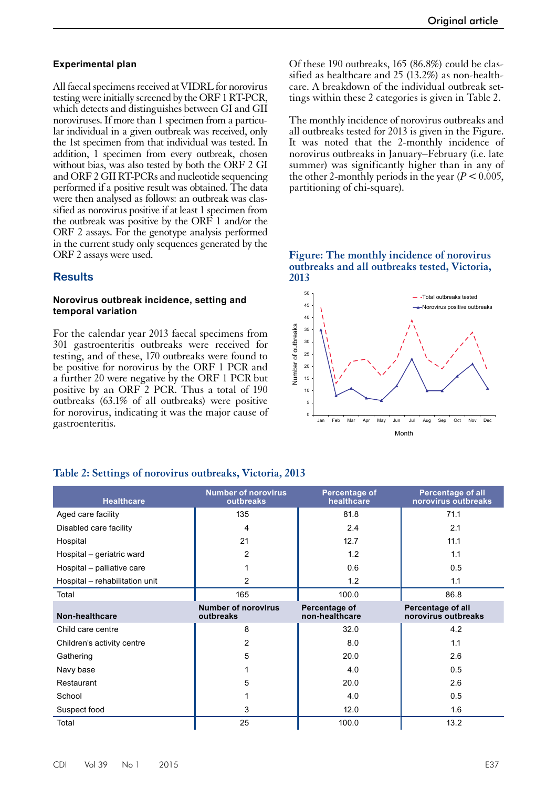#### **Experimental plan**

All faecal specimens received at VIDRL for norovirus testing were initially screened by the ORF 1RT-PCR, which detects and distinguishes between GI and GII noroviruses. If more than 1 specimen from a particular individual in a given outbreak was received, only the 1st specimen from that individual was tested. In addition, 1 specimen from every outbreak, chosen without bias, was also tested by both the ORF 2 GI and ORF 2 GII RT-PCRs and nucleotide sequencing performed if a positive result was obtained. The data were then analysed as follows: an outbreak was classified as norovirus positive if at least 1 specimen from the outbreak was positive by the ORF 1 and/or the ORF 2 assays. For the genotype analysis performed in the current study only sequences generated by the ORF 2 assays were used.

## **Results**

#### **Norovirus outbreak incidence, setting and temporal variation**

For the calendar year 2013 faecal specimens from 301 gastroenteritis outbreaks were received for testing, and of these, 170 outbreaks were found to be positive for norovirus by the ORF 1 PCR and a further 20 were negative by the ORF 1 PCR but positive by an ORF 2 PCR. Thus a total of 190 outbreaks (63.1% of all outbreaks) were positive for norovirus, indicating it was the major cause of gastroenteritis.

Of these 190 outbreaks, 165 (86.8%) could be classified as healthcare and 25 (13.2%) as non-healthcare. A breakdown of the individual outbreak settings within these 2 categories is given in Table 2.

The monthly incidence of norovirus outbreaks and all outbreaks tested for 2013 is given in the Figure. It was noted that the 2-monthly incidence of norovirus outbreaks in January–February (i.e. late summer) was significantly higher than in any of the other 2-monthly periods in the year  $(P < 0.005$ , partitioning of chi-square).

#### **Figure: The monthly incidence of norovirus outbreaks and all outbreaks tested, Victoria, 2013**



| <b>Healthcare</b>              | <b>Number of norovirus</b><br>outbreaks | Percentage of<br>healthcare     | <b>Percentage of all</b><br>norovirus outbreaks |  |
|--------------------------------|-----------------------------------------|---------------------------------|-------------------------------------------------|--|
| Aged care facility             | 135                                     | 81.8                            | 71.1                                            |  |
| Disabled care facility         | 4                                       | 2.4                             | 2.1                                             |  |
| Hospital                       | 21                                      | 12.7                            | 11.1                                            |  |
| Hospital - geriatric ward      | $\overline{2}$                          | 1.2                             | 1.1                                             |  |
| Hospital - palliative care     |                                         | 0.6                             | 0.5                                             |  |
| Hospital - rehabilitation unit | 2                                       | 1.2                             | 1.1                                             |  |
| Total                          | 165                                     | 100.0                           | 86.8                                            |  |
| Non-healthcare                 | <b>Number of norovirus</b><br>outbreaks | Percentage of<br>non-healthcare | Percentage of all<br>norovirus outbreaks        |  |
| Child care centre              | 8                                       | 32.0                            | 4.2                                             |  |
| Children's activity centre     | 2                                       | 8.0                             | 1.1                                             |  |
| Gathering                      | 5                                       | 20.0                            | 2.6                                             |  |
| Navy base                      |                                         | 4.0                             | 0.5                                             |  |
| Restaurant                     | 5                                       | 20.0                            | 2.6                                             |  |
| School                         |                                         | 4.0                             | 0.5                                             |  |
| Suspect food                   | 3                                       | 12.0                            | 1.6                                             |  |
| Total                          | 25                                      | 100.0                           | 13.2                                            |  |

#### **Table 2: Settings of norovirus outbreaks, Victoria, 2013**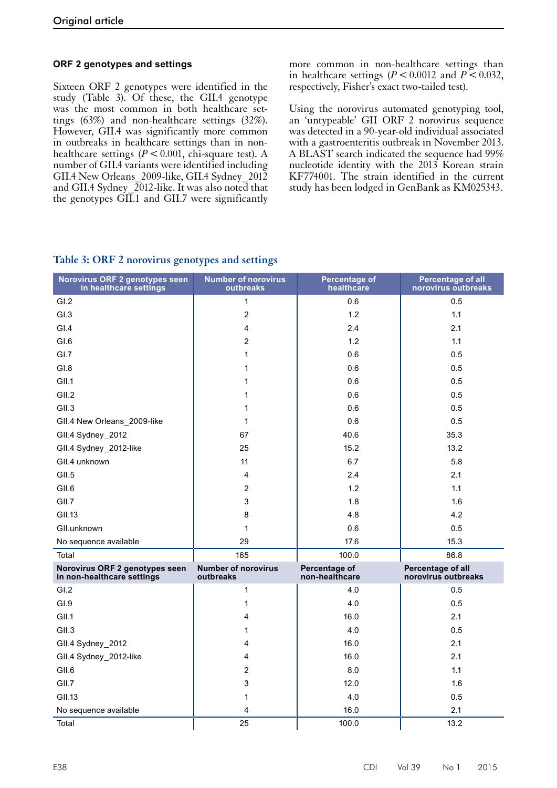## **ORF 2 genotypes and settings**

Sixteen ORF 2 genotypes were identified in the study (Table 3). Of these, the GII.4 genotype was the most common in both healthcare settings (63%) and non-healthcare settings (32%). However, GII.4 was significantly more common in outbreaks in healthcare settings than in nonhealthcare settings  $(P < 0.001$ , chi-square test). A number of GII.4 variants were identified including GII.4 New Orleans\_2009-like, GII.4 Sydney\_2012 and GII.4 Sydney  $\sqrt{2012}$ -like. It was also noted that the genotypes GII.1 and GII.7 were significantly

more common in non-healthcare settings than in healthcare settings  $(P < 0.0012$  and  $P < 0.032$ , respectively, Fisher's exact two-tailed test).

Using the norovirus automated genotyping tool, an 'untypeable' GII ORF 2 norovirus sequence was detected in a 90-year-old individual associated with a gastroenteritis outbreak in November 2013. A BLAST search indicated the sequence had 99% nucleotide identity with the 2013 Korean strain KF774001. The strain identified in the current study has been lodged in GenBank as KM025343.

## **Table 3: ORF 2 norovirus genotypes and settings**

| Norovirus ORF 2 genotypes seen<br>in healthcare settings     | <b>Number of norovirus</b><br>outbreaks | Percentage of<br>healthcare     | <b>Percentage of all</b><br>norovirus outbreaks |  |
|--------------------------------------------------------------|-----------------------------------------|---------------------------------|-------------------------------------------------|--|
| GI.2                                                         | $\mathbf{1}$                            | 0.6                             | 0.5                                             |  |
| GI.3                                                         | $\overline{2}$                          | 1.2                             | 1.1                                             |  |
| GI.4                                                         | $\overline{4}$                          | 2.4                             | 2.1                                             |  |
| GI.6                                                         | $\overline{2}$                          | 1.2                             | 1.1                                             |  |
| GI.7                                                         | $\mathbf{1}$                            | 0.6                             | 0.5                                             |  |
| GI.8                                                         | 1                                       | 0.6                             | 0.5                                             |  |
| GII.1                                                        | 1                                       | 0.6                             | 0.5                                             |  |
| GII.2                                                        | 1                                       | 0.6                             | 0.5                                             |  |
| GII.3                                                        | 1                                       | 0.6                             | 0.5                                             |  |
| GII.4 New Orleans_2009-like                                  | 1                                       | 0.6                             | 0.5                                             |  |
| GII.4 Sydney_2012                                            | 67                                      | 40.6                            | 35.3                                            |  |
| GII.4 Sydney_2012-like                                       | 25                                      | 15.2                            | 13.2                                            |  |
| GII.4 unknown                                                | 11                                      | 6.7                             | 5.8                                             |  |
| GII.5                                                        | $\overline{4}$                          | 2.4                             | 2.1                                             |  |
| GII.6                                                        | $\overline{2}$                          | 1.2                             | 1.1                                             |  |
| GII.7                                                        | 3                                       | 1.8                             | 1.6                                             |  |
| <b>GII.13</b>                                                | 8                                       | 4.8                             | 4.2                                             |  |
| GII.unknown                                                  | $\mathbf{1}$                            | 0.6                             | 0.5                                             |  |
| No sequence available                                        | 29                                      | 17.6                            | 15.3                                            |  |
| Total                                                        | 165                                     | 100.0                           | 86.8                                            |  |
| Norovirus ORF 2 genotypes seen<br>in non-healthcare settings | <b>Number of norovirus</b><br>outbreaks | Percentage of<br>non-healthcare | Percentage of all<br>norovirus outbreaks        |  |
| GI.2                                                         | $\mathbf{1}$                            | 4.0                             | 0.5                                             |  |
| GI.9                                                         | 1                                       | 4.0                             | 0.5                                             |  |
| GII.1                                                        | 4                                       | 16.0                            | 2.1                                             |  |
| GII.3                                                        | 1                                       | 4.0                             | 0.5                                             |  |
| GII.4 Sydney_2012                                            | 4                                       | 16.0                            | 2.1                                             |  |
| GII.4 Sydney_2012-like                                       | 4                                       | 16.0                            | 2.1                                             |  |
| GII.6                                                        | $\overline{2}$                          | 8.0                             | 1.1                                             |  |
| GII.7                                                        | 3                                       | 12.0                            | 1.6                                             |  |
| GII.13                                                       | 1                                       | 4.0                             | 0.5                                             |  |
| No sequence available                                        | 4                                       | 16.0                            | 2.1                                             |  |
| Total                                                        | 25                                      | 100.0                           | 13.2                                            |  |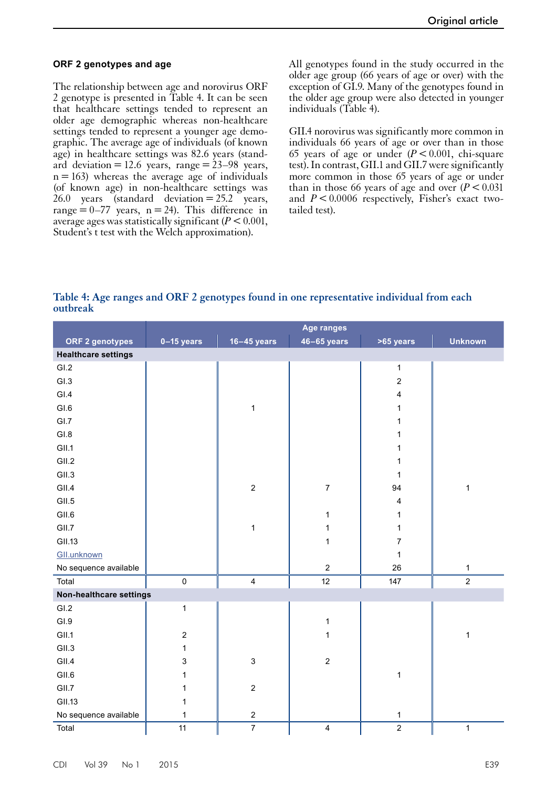#### **ORF 2 genotypes and age**

The relationship between age and norovirus ORF 2 genotype is presented in Table 4. It can be seen that healthcare settings tended to represent an older age demographic whereas non-healthcare settings tended to represent a younger age demographic. The average age of individuals (of known age) in healthcare settings was 82.6 years (standard deviation = 12.6 years, range =  $23-98$  years,  $n = 163$ ) whereas the average age of individuals (of known age) in non-healthcare settings was 26.0 years (standard deviation  $=25.2$  years, range =  $0-77$  years, n = 24). This difference in average ages was statistically significant  $(P < 0.001$ , Student's t test with the Welch approximation).

All genotypes found in the study occurred in the older age group (66 years of age or over) with the exception of GI.9. Many of the genotypes found in the older age group were also detected in younger individuals (Table 4).

GII.4 norovirus was significantly more common in individuals 66 years of age or over than in those 65 years of age or under  $(P < 0.001$ , chi-square test). In contrast, GII.1 and GII.7 were significantly more common in those 65 years of age or under than in those 66 years of age and over  $(P < 0.031)$ and  $P < 0.0006$  respectively, Fisher's exact twotailed test).

**Table 4: Age ranges and ORF 2 genotypes found in one representative individual from each outbreak**

|                            |                           |                         | <b>Age ranges</b>       |                         |                |
|----------------------------|---------------------------|-------------------------|-------------------------|-------------------------|----------------|
| ORF 2 genotypes            | $0-15$ years              | $16 - 45$ years         | $46 - 65$ years         | >65 years               | <b>Unknown</b> |
| <b>Healthcare settings</b> |                           |                         |                         |                         |                |
| GI.2                       |                           |                         |                         | $\mathbf{1}$            |                |
| GI.3                       |                           |                         |                         | $\mathbf 2$             |                |
| GI.4                       |                           |                         |                         | $\overline{\mathbf{4}}$ |                |
| GI.6                       |                           | $\mathbf 1$             |                         | $\mathbf{1}$            |                |
| GI.7                       |                           |                         |                         | $\mathbf{1}$            |                |
| GI.8                       |                           |                         |                         | 1                       |                |
| GII.1                      |                           |                         |                         | 1                       |                |
| GII.2                      |                           |                         |                         | 1                       |                |
| GII.3                      |                           |                         |                         | $\mathbf{1}$            |                |
| GII.4                      |                           | $\overline{c}$          | $\overline{7}$          | 94                      | $\mathbf{1}$   |
| GII.5                      |                           |                         |                         | $\overline{\mathbf{4}}$ |                |
| GII.6                      |                           |                         | 1                       | $\mathbf{1}$            |                |
| GII.7                      |                           | $\mathbf 1$             | 1                       | $\mathbf{1}$            |                |
| <b>GII.13</b>              |                           |                         | $\mathbf 1$             | $\overline{\mathbf{7}}$ |                |
| GII.unknown                |                           |                         |                         | $\mathbf{1}$            |                |
| No sequence available      |                           |                         | $\overline{c}$          | 26                      | $\mathbf{1}$   |
| Total                      | $\mathbf 0$               | $\overline{\mathbf{4}}$ | 12                      | 147                     | $\overline{2}$ |
| Non-healthcare settings    |                           |                         |                         |                         |                |
| GI.2                       | $\mathbf{1}$              |                         |                         |                         |                |
| GI.9                       |                           |                         | $\mathbf{1}$            |                         |                |
| GII.1                      | $\boldsymbol{2}$          |                         | 1                       |                         | $\mathbf{1}$   |
| GII.3                      | $\mathbf{1}$              |                         |                         |                         |                |
| GII.4                      | $\ensuremath{\mathsf{3}}$ | 3                       | $\overline{2}$          |                         |                |
| GII.6                      | 1                         |                         |                         | $\mathbf{1}$            |                |
| GII.7                      | 1                         | $\mathbf{2}$            |                         |                         |                |
| <b>GII.13</b>              | 1                         |                         |                         |                         |                |
| No sequence available      | 1                         | $\overline{2}$          |                         | $\mathbf{1}$            |                |
| Total                      | 11                        | $\overline{7}$          | $\overline{\mathbf{4}}$ | $\overline{2}$          | $\mathbf{1}$   |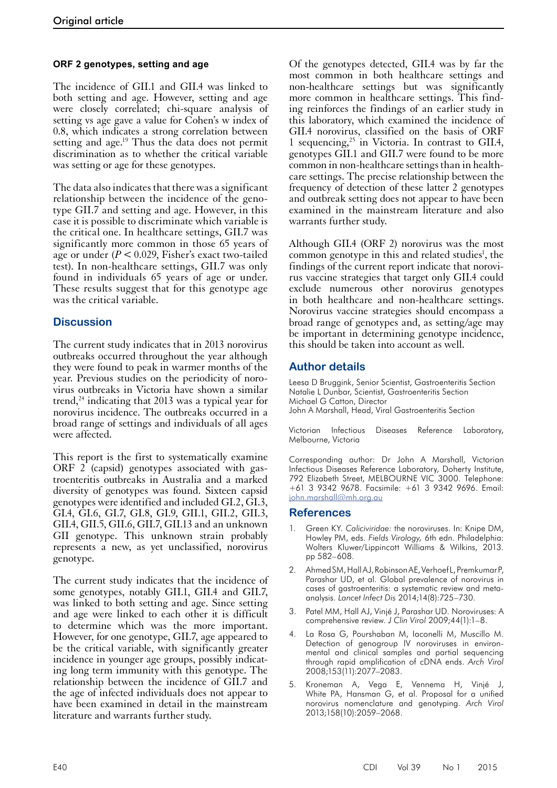## **ORF 2 genotypes, setting and age**

The incidence of GII.1 and GII.4 was linked to both setting and age. However, setting and age were closely correlated; chi-square analysis of setting vs age gave a value for Cohen's w index of 0.8, which indicates a strong correlation between setting and age.<sup>19</sup> Thus the data does not permit discrimination as to whether the critical variable was setting or age for these genotypes.

The data also indicates that there was a significant relationship between the incidence of the genotype GII.7 and setting and age. However, in this case it is possible to discriminate which variable is the critical one. In healthcare settings, GII.7 was significantly more common in those 65 years of age or under (*P* < 0.029, Fisher's exact two-tailed test). In non-healthcare settings, GII.7 was only found in individuals 65 years of age or under. These results suggest that for this genotype age was the critical variable.

## **Discussion**

The current study indicates that in 2013 norovirus outbreaks occurred throughout the year although they were found to peak in warmer months of the year. Previous studies on the periodicity of norovirus outbreaks in Victoria have shown a similar trend, $^{24}$  indicating that 2013 was a typical year for norovirus incidence. The outbreaks occurred in a broad range of settings and individuals of all ages were affected.

This report is the first to systematically examine ORF 2 (capsid) genotypes associated with gas- troenteritis outbreaks in Australia and a marked diversity of genotypes was found. Sixteen capsid genotypes were identified and included GI.2, GI.3, GI.4, GI.6, GI.7, GI.8, GI.9, GII.1, GII.2, GII.3, GII.4, GII.5, GII.6, GII.7, GII.13 and an unknown GII genotype. This unknown strain probably represents a new, as yet unclassified, norovirus genotype.

The current study indicates that the incidence of some genotypes, notably GII.1, GII.4 and GII.7, was linked to both setting and age. Since setting and age were linked to each other it is difficult to determine which was the more important. However, for one genotype, GII.7, age appeared to be the critical variable, with significantly greater incidence in younger age groups, possibly indicat- ing long term immunity with this genotype. The relationship between the incidence of GII.7 and the age of infected individuals does not appear to have been examined in detail in the mainstream literature and warrants further study.

Of the genotypes detected, GII.4 was by far the most common in both healthcare settings and non-healthcare settings but was significantly more common in healthcare settings. This finding reinforces the findings of an earlier study in this laboratory, which examined the incidence of GII.4 norovirus, classified on the basis of ORF 1 sequencing,<sup>25</sup> in Victoria. In contrast to GII.4, genotypes GII.1 and GII.7 were found to be more common in non-healthcare settings than in healthcare settings. The precise relationship between the frequency of detection of these latter 2 genotypes and outbreak setting does not appear to have been examined in the mainstream literature and also warrants further study.

Although GII.4 (ORF 2) norovirus was the most common genotype in this and related studies<sup>1</sup>, the findings of the current report indicate that norovirus vaccine strategies that target only GII.4 could exclude numerous other norovirus genotypes in both healthcare and non-healthcare settings. Norovirus vaccine strategies should encompass a broad range of genotypes and, as setting/age may be important in determining genotype incidence, this should be taken into account as well.

## **Author details**

Leesa D Bruggink, Senior Scientist, Gastroenteritis Section Natalie L Dunbar, Scientist, Gastroenteritis Section Michael G Catton, Director John A Marshall, Head, Viral Gastroenteritis Section

Victorian Infectious Diseases Reference Laboratory, Melbourne, Victoria

Corresponding author: Dr John A Marshall, Victorian Infectious Diseases Reference Laboratory, Doherty Institute, 792 Elizabeth Street, MELBOURNE VIC 3000. Telephone: +61 3 9342 9678. Facsimile: +61 3 9342 9696. Email: [john.marshall@mh.org.au](mailto:john.marshall@mh.org.au)

#### **References**

- 1. Green KY. *Caliciviridae:* the noroviruses. In: Knipe DM, Howley PM, eds. *Fields Virology,* 6th edn. Philadelphia: Wolters Kluwer/Lippincott Williams & Wilkins, 2013. pp 582–608.
- 2. Ahmed SM, Hall AJ, Robinson AE, Verhoef L, PremkumarP, Parashar UD, et al. Global prevalence of norovirus in cases of gastroenteritis: a systematic review and metaanalysis. *Lancet Infect Dis* 2014;14(8):725–730.
- 3. Patel MM, Hall AJ, Vinjé J, Parashar UD. Noroviruses: A comprehensive review. *J Clin Virol* 2009;44(1):1–8.
- 4. La Rosa G, Pourshaban M, Iaconelli M, Muscillo M. Detection of genogroup IV noroviruses in environmental and clinical samples and partial sequencing through rapid amplification of cDNA ends. *Arch Virol* 2008;153(11):2077–2083.
- 5. Kroneman A, Vega E, Vennema H, Vinjé J, White PA, Hansman G, et al. Proposal for a unified norovirus nomenclature and genotyping. *Arch Virol* 2013;158(10):2059–2068.